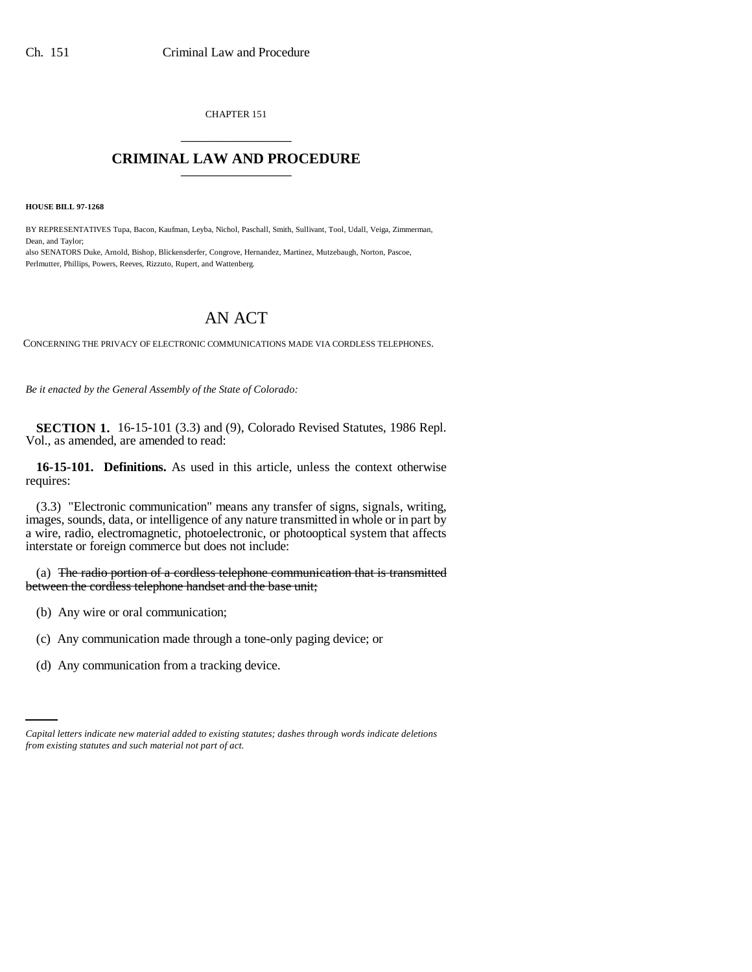CHAPTER 151 \_\_\_\_\_\_\_\_\_\_\_\_\_\_\_

## **CRIMINAL LAW AND PROCEDURE** \_\_\_\_\_\_\_\_\_\_\_\_\_\_\_

**HOUSE BILL 97-1268**

BY REPRESENTATIVES Tupa, Bacon, Kaufman, Leyba, Nichol, Paschall, Smith, Sullivant, Tool, Udall, Veiga, Zimmerman, Dean, and Taylor; also SENATORS Duke, Arnold, Bishop, Blickensderfer, Congrove, Hernandez, Martinez, Mutzebaugh, Norton, Pascoe,

## AN ACT

CONCERNING THE PRIVACY OF ELECTRONIC COMMUNICATIONS MADE VIA CORDLESS TELEPHONES.

*Be it enacted by the General Assembly of the State of Colorado:*

Perlmutter, Phillips, Powers, Reeves, Rizzuto, Rupert, and Wattenberg.

**SECTION 1.** 16-15-101 (3.3) and (9), Colorado Revised Statutes, 1986 Repl. Vol., as amended, are amended to read:

**16-15-101. Definitions.** As used in this article, unless the context otherwise requires:

(3.3) "Electronic communication" means any transfer of signs, signals, writing, images, sounds, data, or intelligence of any nature transmitted in whole or in part by a wire, radio, electromagnetic, photoelectronic, or photooptical system that affects interstate or foreign commerce but does not include:

(a) The radio portion of a cordless telephone communication that is transmitted between the cordless telephone handset and the base unit;

- (b) Any wire or oral communication;
- (c) Any communication made through a tone-only paging device; or
- (d) Any communication from a tracking device.

*Capital letters indicate new material added to existing statutes; dashes through words indicate deletions from existing statutes and such material not part of act.*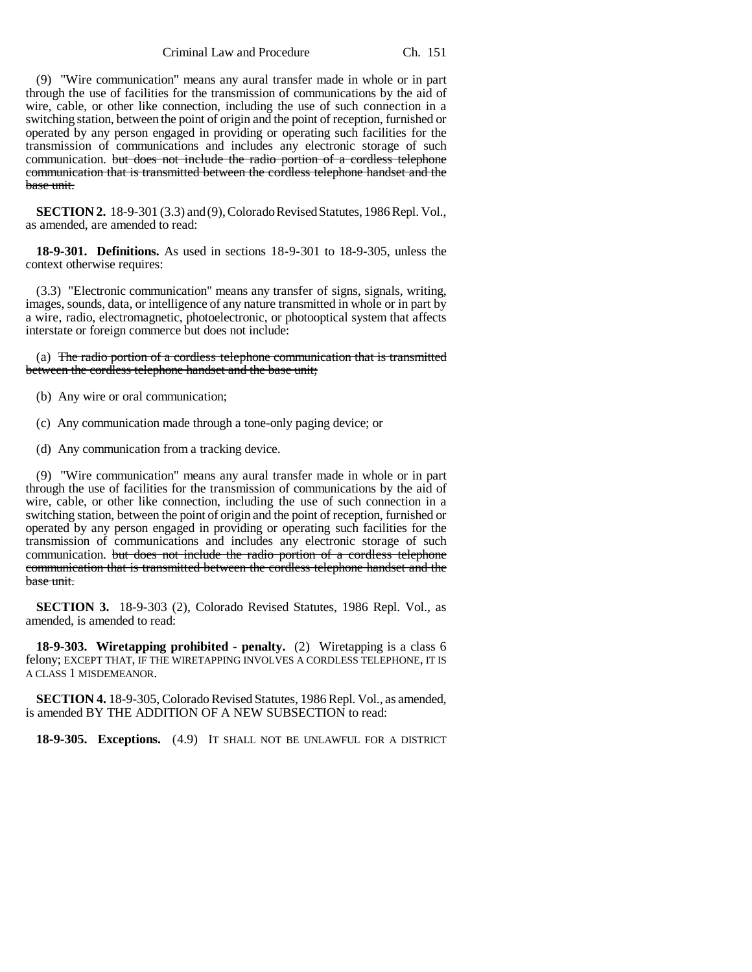Criminal Law and Procedure Ch. 151

(9) "Wire communication" means any aural transfer made in whole or in part through the use of facilities for the transmission of communications by the aid of wire, cable, or other like connection, including the use of such connection in a switching station, between the point of origin and the point of reception, furnished or operated by any person engaged in providing or operating such facilities for the transmission of communications and includes any electronic storage of such communication. but does not include the radio portion of a cordless telephone communication that is transmitted between the cordless telephone handset and the base unit.

**SECTION 2.** 18-9-301 (3.3) and (9), Colorado Revised Statutes, 1986 Repl. Vol., as amended, are amended to read:

**18-9-301. Definitions.** As used in sections 18-9-301 to 18-9-305, unless the context otherwise requires:

(3.3) "Electronic communication" means any transfer of signs, signals, writing, images, sounds, data, or intelligence of any nature transmitted in whole or in part by a wire, radio, electromagnetic, photoelectronic, or photooptical system that affects interstate or foreign commerce but does not include:

(a) The radio portion of a cordless telephone communication that is transmitted between the cordless telephone handset and the base unit;

- (b) Any wire or oral communication;
- (c) Any communication made through a tone-only paging device; or
- (d) Any communication from a tracking device.

(9) "Wire communication" means any aural transfer made in whole or in part through the use of facilities for the transmission of communications by the aid of wire, cable, or other like connection, including the use of such connection in a switching station, between the point of origin and the point of reception, furnished or operated by any person engaged in providing or operating such facilities for the transmission of communications and includes any electronic storage of such communication. but does not include the radio portion of a cordless telephone communication that is transmitted between the cordless telephone handset and the base unit.

**SECTION 3.** 18-9-303 (2), Colorado Revised Statutes, 1986 Repl. Vol., as amended, is amended to read:

**18-9-303. Wiretapping prohibited - penalty.** (2) Wiretapping is a class 6 felony; EXCEPT THAT, IF THE WIRETAPPING INVOLVES A CORDLESS TELEPHONE, IT IS A CLASS 1 MISDEMEANOR.

**SECTION 4.** 18-9-305, Colorado Revised Statutes, 1986 Repl. Vol., as amended, is amended BY THE ADDITION OF A NEW SUBSECTION to read:

**18-9-305. Exceptions.** (4.9) IT SHALL NOT BE UNLAWFUL FOR A DISTRICT